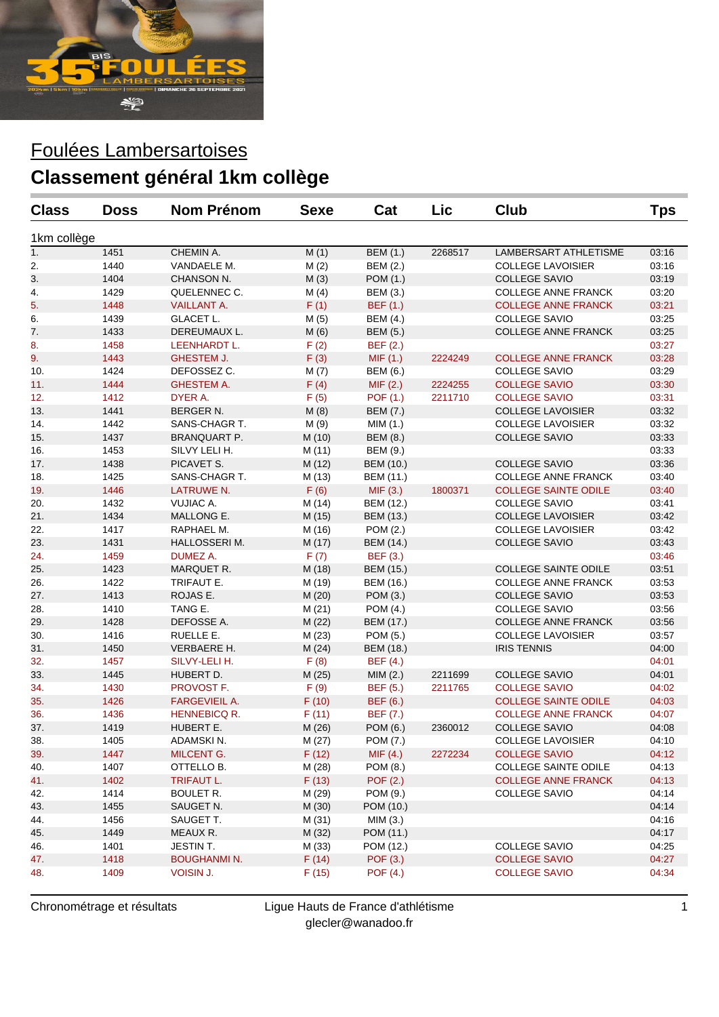

## Foulées Lambersartoises **Classement général 1km collège**

| <b>Class</b> | <b>Doss</b> | <b>Nom Prénom</b>    | <b>Sexe</b> | Cat              | Lic     | <b>Club</b>                 | <b>Tps</b> |
|--------------|-------------|----------------------|-------------|------------------|---------|-----------------------------|------------|
| 1km collège  |             |                      |             |                  |         |                             |            |
| 1.           | 1451        | CHEMIN A.            | M(1)        | <b>BEM (1.)</b>  | 2268517 | LAMBERSART ATHLETISME       | 03:16      |
| 2.           | 1440        | VANDAELE M.          | M(2)        | <b>BEM (2.)</b>  |         | <b>COLLEGE LAVOISIER</b>    | 03:16      |
| 3.           | 1404        | CHANSON N.           | M(3)        | POM (1.)         |         | <b>COLLEGE SAVIO</b>        | 03:19      |
| 4.           | 1429        | QUELENNEC C.         | M(4)        | <b>BEM (3.)</b>  |         | <b>COLLEGE ANNE FRANCK</b>  | 03:20      |
| 5.           | 1448        | <b>VAILLANT A.</b>   | F(1)        | <b>BEF</b> (1.)  |         | <b>COLLEGE ANNE FRANCK</b>  | 03:21      |
| 6.           | 1439        | <b>GLACET L.</b>     | M(5)        | <b>BEM (4.)</b>  |         | <b>COLLEGE SAVIO</b>        | 03:25      |
| 7.           | 1433        | DEREUMAUX L.         | M(6)        | <b>BEM (5.)</b>  |         | COLLEGE ANNE FRANCK         | 03:25      |
| 8.           | 1458        | LEENHARDT L.         | F(2)        | <b>BEF</b> (2.)  |         |                             | 03:27      |
| 9.           | 1443        | <b>GHESTEM J.</b>    | F(3)        | MIF(1.)          | 2224249 | <b>COLLEGE ANNE FRANCK</b>  | 03:28      |
| 10.          | 1424        | DEFOSSEZ C.          | M(7)        | <b>BEM (6.)</b>  |         | <b>COLLEGE SAVIO</b>        | 03:29      |
| 11.          | 1444        | <b>GHESTEM A.</b>    | F(4)        | MIF(2.)          | 2224255 | <b>COLLEGE SAVIO</b>        | 03:30      |
| 12.          | 1412        | DYER A.              | F(5)        | POF (1.)         | 2211710 | <b>COLLEGE SAVIO</b>        | 03:31      |
| 13.          | 1441        | <b>BERGER N.</b>     | M(8)        | <b>BEM (7.)</b>  |         | <b>COLLEGE LAVOISIER</b>    | 03:32      |
| 14.          | 1442        | SANS-CHAGR T.        | M (9)       | MIM(1.)          |         | <b>COLLEGE LAVOISIER</b>    | 03:32      |
| 15.          | 1437        | <b>BRANQUART P.</b>  | M (10)      | <b>BEM (8.)</b>  |         | <b>COLLEGE SAVIO</b>        | 03:33      |
| 16.          | 1453        | SILVY LELI H.        | M (11)      | BEM (9.)         |         |                             | 03:33      |
| 17.          | 1438        | PICAVET S.           | M (12)      | <b>BEM</b> (10.) |         | <b>COLLEGE SAVIO</b>        | 03:36      |
| 18.          | 1425        | SANS-CHAGR T.        | M (13)      | BEM (11.)        |         | <b>COLLEGE ANNE FRANCK</b>  | 03:40      |
| 19.          | 1446        | LATRUWE N.           | F(6)        | MIF(3.)          | 1800371 | <b>COLLEGE SAINTE ODILE</b> | 03:40      |
| 20.          | 1432        | VUJIAC A.            | M (14)      | BEM (12.)        |         | <b>COLLEGE SAVIO</b>        | 03:41      |
| 21.          | 1434        | MALLONG E.           | M (15)      | BEM (13.)        |         | <b>COLLEGE LAVOISIER</b>    | 03:42      |
| 22.          | 1417        | RAPHAEL M.           | M (16)      | POM (2.)         |         | <b>COLLEGE LAVOISIER</b>    | 03:42      |
| 23.          | 1431        | HALLOSSERIM.         | M (17)      | BEM (14.)        |         | <b>COLLEGE SAVIO</b>        | 03:43      |
| 24.          | 1459        | <b>DUMEZ A.</b>      | F(7)        | <b>BEF</b> (3.)  |         |                             | 03:46      |
| 25.          | 1423        | MARQUET R.           | M (18)      | <b>BEM (15.)</b> |         | <b>COLLEGE SAINTE ODILE</b> | 03:51      |
| 26.          | 1422        | TRIFAUT E.           | M (19)      | BEM (16.)        |         | <b>COLLEGE ANNE FRANCK</b>  | 03:53      |
| 27.          | 1413        | ROJAS E.             | M (20)      | POM (3.)         |         | <b>COLLEGE SAVIO</b>        | 03:53      |
| 28.          | 1410        | TANG E.              | M (21)      | POM (4.)         |         | <b>COLLEGE SAVIO</b>        | 03:56      |
| 29.          | 1428        | DEFOSSE A.           | M (22)      | BEM (17.)        |         | <b>COLLEGE ANNE FRANCK</b>  | 03:56      |
| 30.          | 1416        | RUELLE E.            | M(23)       | POM (5.)         |         | <b>COLLEGE LAVOISIER</b>    | 03:57      |
| 31.          | 1450        | VERBAERE H.          | M(24)       | BEM (18.)        |         | <b>IRIS TENNIS</b>          | 04:00      |
| 32.          | 1457        | SILVY-LELI H.        | F(8)        | <b>BEF</b> (4.)  |         |                             | 04:01      |
| 33.          | 1445        | HUBERT D.            | M (25)      | MIM(2.)          | 2211699 | <b>COLLEGE SAVIO</b>        | 04:01      |
| 34.          | 1430        | PROVOST F.           | F(9)        | <b>BEF</b> (5.)  | 2211765 | <b>COLLEGE SAVIO</b>        | 04:02      |
| 35.          | 1426        | <b>FARGEVIEIL A.</b> | F(10)       | <b>BEF</b> (6.)  |         | <b>COLLEGE SAINTE ODILE</b> | 04:03      |
| 36.          | 1436        | HENNEBICQ R.         | F(11)       | <b>BEF</b> (7.)  |         | <b>COLLEGE ANNE FRANCK</b>  | 04:07      |
| 37.          | 1419        | HUBERT E.            | M (26)      | POM (6.)         | 2360012 | <b>COLLEGE SAVIO</b>        | 04:08      |
| 38.          | 1405        | ADAMSKI N.           | M (27)      | POM (7.)         |         | <b>COLLEGE LAVOISIER</b>    | 04:10      |
| 39.          | 1447        | <b>MILCENT G.</b>    | F(12)       | MIF(4.)          | 2272234 | <b>COLLEGE SAVIO</b>        | 04:12      |
| 40.          | 1407        | OTTELLO B.           | M (28)      | POM (8.)         |         | <b>COLLEGE SAINTE ODILE</b> | 04:13      |
| 41.          | 1402        | <b>TRIFAUT L.</b>    | F(13)       | POF (2.)         |         | <b>COLLEGE ANNE FRANCK</b>  | 04:13      |
| 42.          | 1414        | <b>BOULET R.</b>     | M (29)      | POM (9.)         |         | <b>COLLEGE SAVIO</b>        | 04:14      |
| 43.          | 1455        | SAUGET N.            | M (30)      | POM (10.)        |         |                             | 04:14      |
| 44.          | 1456        | SAUGET T.            | M (31)      | MIM(3.)          |         |                             | 04:16      |
| 45.          | 1449        | MEAUX R.             | M (32)      | POM (11.)        |         |                             | 04:17      |
| 46.          | 1401        | JESTIN T.            | M(33)       | POM (12.)        |         | <b>COLLEGE SAVIO</b>        | 04:25      |
| 47.          | 1418        | <b>BOUGHANMI N.</b>  | F(14)       | POF (3.)         |         | <b>COLLEGE SAVIO</b>        | 04:27      |
| 48.          | 1409        | VOISIN J.            | F(15)       | POF (4.)         |         | <b>COLLEGE SAVIO</b>        | 04:34      |

Chronométrage et résultats Ligue Hauts de France d'athlétisme glecler@wanadoo.fr